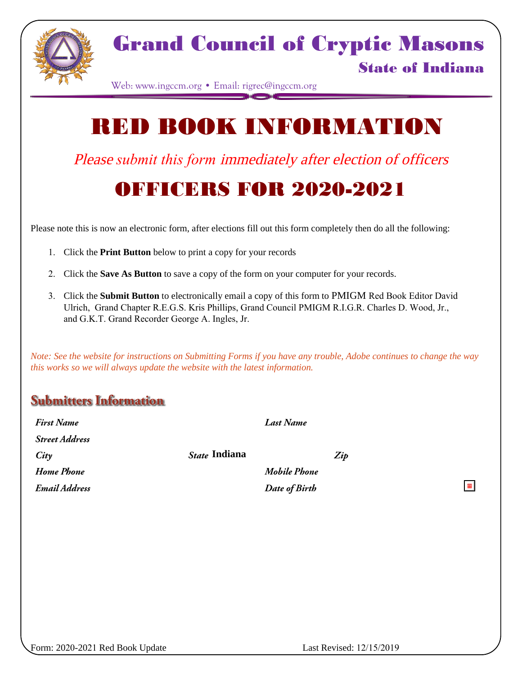

### Grand Council of Cryptic Masons

#### State of Indiana

 $\blacksquare$ 

Web: www.ingccm.org • Email: rigrec@ingccm.org

# RED BOOK INFORMATION

Please *submit this form* immediately after election of officers

### OFFICERS FOR 2020-2021

Please note this is now an electronic form, after elections fill out this form completely then do all the following:

- 1. Click the **Print Button** below to print a copy for your records
- 2. Click the **Save As Button** to save a copy of the form on your computer for your records.
- 3. Click the **Submit Button** to electronically email a copy of this form to PMIGM Red Book Editor David Ulrich, Grand Chapter R.E.G.S. Kris Phillips, Grand Council PMIGM R.I.G.R. Charles D. Wood, Jr., and G.K.T. Grand Recorder George A. Ingles, Jr.

*Note: See the website for instructions on Submitting Forms if you have any trouble, Adobe continues to change the way this works so we will always update the website with the latest information.*

#### **Submitters Information**

| <b>First Name</b>     |               | Last Name     |     |
|-----------------------|---------------|---------------|-----|
| <b>Street Address</b> |               |               |     |
| City                  | State Indiana |               | Zip |
| Home Phone            |               | Mobile Phone  |     |
| Email Address         |               | Date of Birth |     |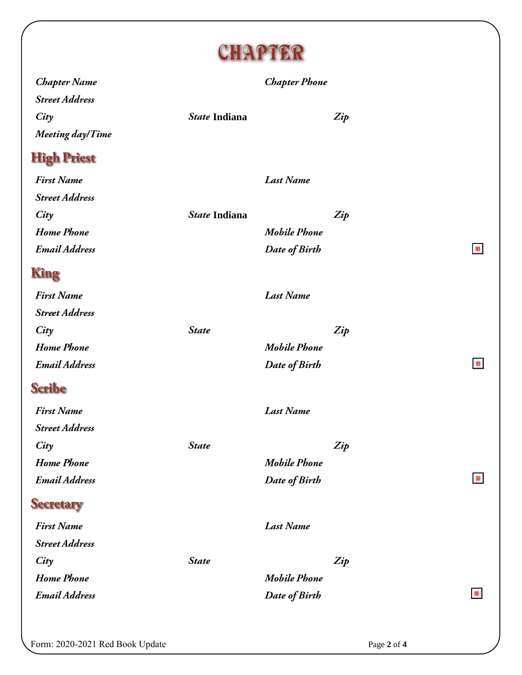

| <b>Chapter Name</b>     |               | <b>Chapter Phone</b> |     |                |
|-------------------------|---------------|----------------------|-----|----------------|
| <b>Street Address</b>   |               |                      |     |                |
| City                    | State Indiana |                      | Zip |                |
| <b>Meeting day/Time</b> |               |                      |     |                |
| <b>High Priest</b>      |               |                      |     |                |
| <b>First Name</b>       |               | <b>Last Name</b>     |     |                |
| <b>Street Address</b>   |               |                      |     |                |
| City                    | State Indiana |                      | Zip |                |
| <b>Home Phone</b>       |               | <b>Mobile Phone</b>  |     |                |
| <b>Email Address</b>    |               | Date of Birth        |     | $\blacksquare$ |
| <b>King</b>             |               |                      |     |                |
| <b>First Name</b>       |               | <b>Last Name</b>     |     |                |
| <b>Street Address</b>   |               |                      |     |                |
| City                    | <b>State</b>  |                      | Zip |                |
| <b>Home Phone</b>       |               | <b>Mobile Phone</b>  |     |                |
| <b>Email Address</b>    |               | Date of Birth        |     | $\blacksquare$ |
| <b>Scribe</b>           |               |                      |     |                |
| <b>First Name</b>       |               | <b>Last Name</b>     |     |                |
| <b>Street Address</b>   |               |                      |     |                |
| City                    | <b>State</b>  |                      | Zip |                |
| <b>Home Phone</b>       |               | <b>Mobile Phone</b>  |     |                |
| <b>Email Address</b>    |               | Date of Birth        |     | $\blacksquare$ |
| <b>Secretary</b>        |               |                      |     |                |
| <b>First Name</b>       |               | <b>Last Name</b>     |     |                |
| <b>Street Address</b>   |               |                      |     |                |
| City                    | <b>State</b>  |                      | Zip |                |
| <b>Home Phone</b>       |               | <b>Mobile Phone</b>  |     |                |
| <b>Email Address</b>    |               | Date of Birth        |     |                |
|                         |               |                      |     |                |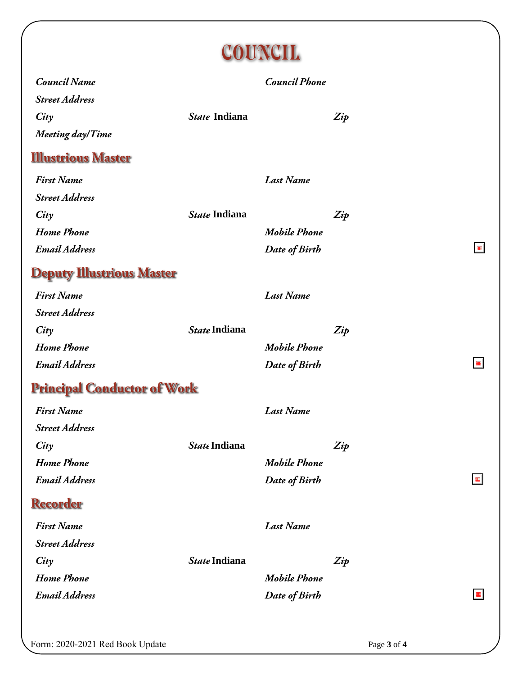

|                                    | ∽<br>~        |                      |     |                |
|------------------------------------|---------------|----------------------|-----|----------------|
| <b>Council Name</b>                |               | <b>Council Phone</b> |     |                |
| <b>Street Address</b>              |               |                      |     |                |
| City                               | State Indiana |                      | Zip |                |
| Meeting day/Time                   |               |                      |     |                |
| <b>Illustrious Master</b>          |               |                      |     |                |
| <b>First Name</b>                  |               | <b>Last Name</b>     |     |                |
| <b>Street Address</b>              |               |                      |     |                |
| City                               | State Indiana |                      | Zip |                |
| <b>Home Phone</b>                  |               | <b>Mobile Phone</b>  |     |                |
| <b>Email Address</b>               |               | Date of Birth        |     |                |
| <b>Deputy Illustrious Master</b>   |               |                      |     |                |
| <b>First Name</b>                  |               | <b>Last Name</b>     |     |                |
| <b>Street Address</b>              |               |                      |     |                |
| City                               | State Indiana |                      | Zip |                |
| <b>Home Phone</b>                  |               | <b>Mobile Phone</b>  |     |                |
| <b>Email Address</b>               |               | Date of Birth        |     | $\blacksquare$ |
| <b>Principal Conductor of Work</b> |               |                      |     |                |
| <b>First Name</b>                  |               | <b>Last Name</b>     |     |                |
| <b>Street Address</b>              |               |                      |     |                |
| City                               | State Indiana |                      | Zip |                |
| <b>Home Phone</b>                  |               | <b>Mobile Phone</b>  |     |                |
| <b>Email Address</b>               |               | Date of Birth        |     | $\blacksquare$ |
| <b>Recorder</b>                    |               |                      |     |                |
| <b>First Name</b>                  |               | <b>Last Name</b>     |     |                |
| <b>Street Address</b>              |               |                      |     |                |
| City                               | State Indiana |                      | Zip |                |
| <b>Home Phone</b>                  |               | <b>Mobile Phone</b>  |     |                |
| <b>Email Address</b>               |               | Date of Birth        |     | $\blacksquare$ |
|                                    |               |                      |     |                |
|                                    |               |                      |     |                |